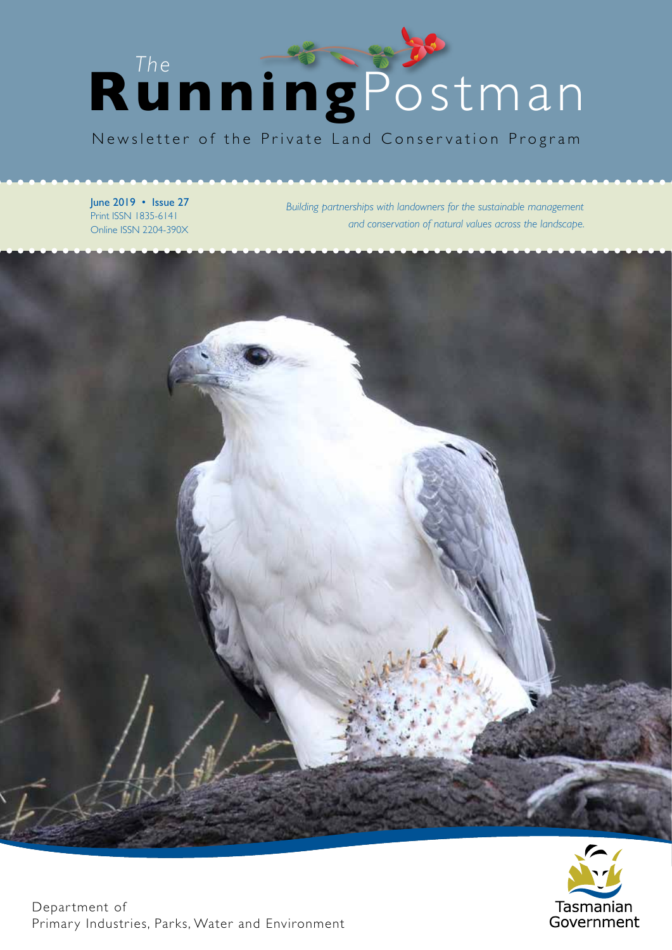

Newsletter of the Private Land Conservation Program

June 2019 • Issue 27 Print ISSN 1835-6141 Online ISSN 2204-390X

*Building partnerships with landowners for the sustainable management and conservation of natural values across the landscape.* 



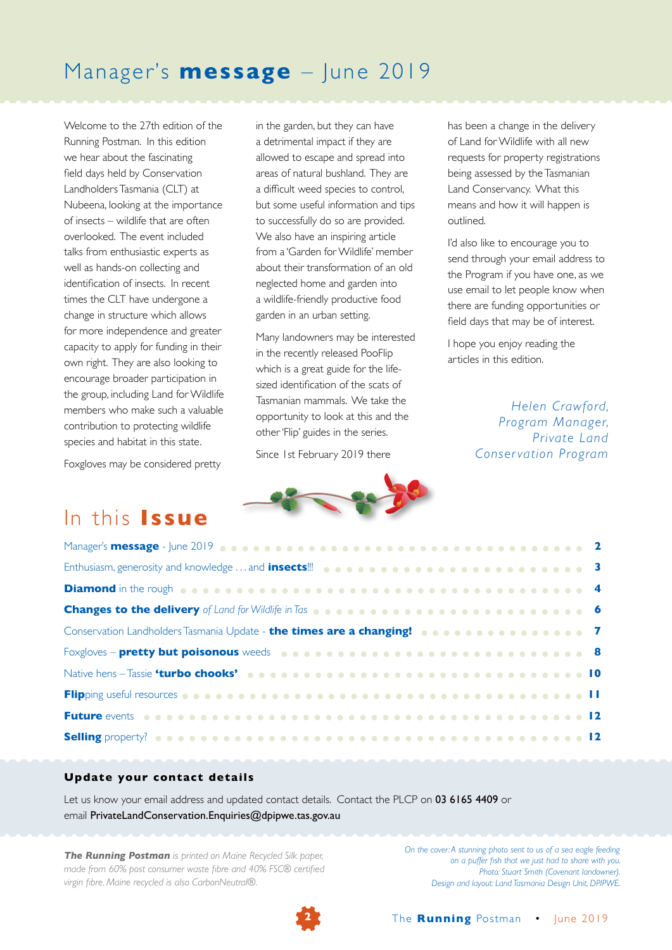## Manager's **message** – June 2019

Welcome to the 27th edition of the Running Postman. In this edition we hear about the fascinating field days held by Conservation Landholders Tasmania (CLT) at Nubeena, looking at the importance of insects – wildlife that are often overlooked. The event included talks from enthusiastic experts as well as hands-on collecting and identification of insects. In recent times the CLT have undergone a change in structure which allows for more independence and greater capacity to apply for funding in their own right. They are also looking to encourage broader participation in the group, including Land for Wildlife members who make such a valuable contribution to protecting wildlife species and habitat in this state.

Foxgloves may be considered pretty

in the garden, but they can have a detrimental impact if they are allowed to escape and spread into areas of natural bushland. They are a difficult weed species to control, but some useful information and tips to successfully do so are provided. We also have an inspiring article from a 'Garden for Wildlife' member about their transformation of an old neglected home and garden into a wildlife-friendly productive food garden in an urban setting.

Many landowners may be interested in the recently released PooFlip which is a great guide for the lifesized identification of the scats of Tasmanian mammals. We take the opportunity to look at this and the other 'Flip' guides in the series.

Since 1st February 2019 there

has been a change in the delivery of Land for Wildlife with all new requests for property registrations being assessed by the Tasmanian Land Conservancy. What this means and how it will happen is outlined.

I'd also like to encourage you to send through your email address to the Program if you have one, as we use email to let people know when there are funding opportunities or field days that may be of interest.

I hope you enjoy reading the articles in this edition.

> *Helen Crawford, Program Manager, Private Land Conservation Program*

## In this **Issue**

| Enthusiasm, generosity and knowledge  and <b>insects!!! and insects on a company of a company of 3</b>                                                                                                                         |  |  |
|--------------------------------------------------------------------------------------------------------------------------------------------------------------------------------------------------------------------------------|--|--|
| Diamond in the rough essays a second contract of a second contract of the Diamond in the rough essays of the second contract of the second contract of the rough estate of the second contract of the second contract of the s |  |  |
|                                                                                                                                                                                                                                |  |  |
| Conservation Landholders Tasmania Update - the times are a changing! <b>Conservation Canadian + 7</b>                                                                                                                          |  |  |
|                                                                                                                                                                                                                                |  |  |
|                                                                                                                                                                                                                                |  |  |
|                                                                                                                                                                                                                                |  |  |
|                                                                                                                                                                                                                                |  |  |
|                                                                                                                                                                                                                                |  |  |

#### **Update your contact details**

Let us know your email address and updated contact details. Contact the PLCP on 03 6165 4409 or email PrivateLandConservation.Enquiries@dpipwe.tas.gov.au

*The Running Postman is printed on Maine Recycled Silk paper, made from 60% post consumer waste fibre and 40% FSC® certified virgin fibre. Maine recycled is also CarbonNeutral®.*

*On the cover: A stunning photo sent to us of a sea eagle feeding on a puffer fish that we just had to share with you. Photo: Stuart Smith (Covenant landowner). Design and layout: Land Tasmania Design Unit, DPIPWE.*

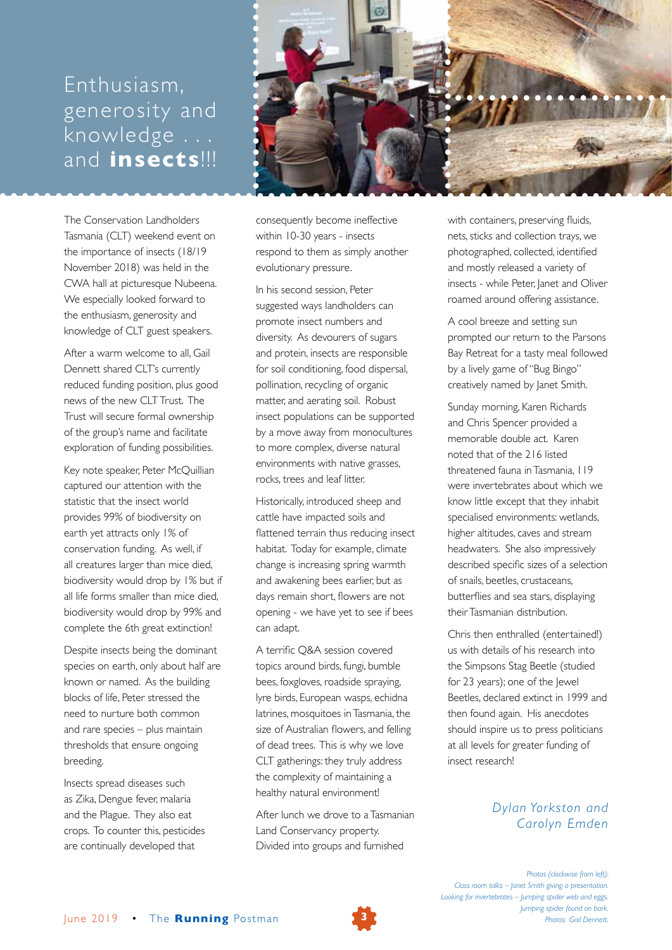## Enthusiasm, generosity and knowledge . . . and **insects**!!!

The Conservation Landholders Tasmania (CLT) weekend event on the importance of insects (18/19 November 2018) was held in the CWA hall at picturesque Nubeena. We especially looked forward to the enthusiasm, generosity and knowledge of CLT guest speakers.

After a warm welcome to all, Gail Dennett shared CLT's currently reduced funding position, plus good news of the new CLT Trust. The Trust will secure formal ownership of the group's name and facilitate exploration of funding possibilities.

Key note speaker, Peter McQuillian captured our attention with the statistic that the insect world provides 99% of biodiversity on earth yet attracts only 1% of conservation funding. As well, if all creatures larger than mice died, biodiversity would drop by 1% but if all life forms smaller than mice died, biodiversity would drop by 99% and complete the 6th great extinction!

Despite insects being the dominant species on earth, only about half are known or named. As the building blocks of life, Peter stressed the need to nurture both common and rare species – plus maintain thresholds that ensure ongoing breeding.

Insects spread diseases such as Zika, Dengue fever, malaria and the Plague. They also eat crops. To counter this, pesticides are continually developed that



consequently become ineffective within 10-30 years - insects respond to them as simply another evolutionary pressure.

In his second session, Peter suggested ways landholders can promote insect numbers and diversity. As devourers of sugars and protein, insects are responsible for soil conditioning, food dispersal, pollination, recycling of organic matter, and aerating soil. Robust insect populations can be supported by a move away from monocultures to more complex, diverse natural environments with native grasses, rocks, trees and leaf litter.

Historically, introduced sheep and cattle have impacted soils and flattened terrain thus reducing insect habitat. Today for example, climate change is increasing spring warmth and awakening bees earlier, but as days remain short, flowers are not opening - we have yet to see if bees can adapt.

A terrific Q&A session covered topics around birds, fungi, bumble bees, foxgloves, roadside spraying, lyre birds, European wasps, echidna latrines, mosquitoes in Tasmania, the size of Australian flowers, and felling of dead trees. This is why we love CLT gatherings: they truly address the complexity of maintaining a healthy natural environment!

After lunch we drove to a Tasmanian Land Conservancy property. Divided into groups and furnished

with containers, preserving fluids, nets, sticks and collection trays, we photographed, collected, identified and mostly released a variety of insects - while Peter, Janet and Oliver roamed around offering assistance.

A cool breeze and setting sun prompted our return to the Parsons Bay Retreat for a tasty meal followed by a lively game of "Bug Bingo" creatively named by Janet Smith.

Sunday morning, Karen Richards and Chris Spencer provided a memorable double act. Karen noted that of the 216 listed threatened fauna in Tasmania, 119 were invertebrates about which we know little except that they inhabit specialised environments: wetlands, higher altitudes, caves and stream headwaters. She also impressively described specific sizes of a selection of snails, beetles, crustaceans, butterflies and sea stars, displaying their Tasmanian distribution.

Chris then enthralled (entertained!) us with details of his research into the Simpsons Stag Beetle (studied for 23 years); one of the lewel Beetles, declared extinct in 1999 and then found again. His anecdotes should inspire us to press politicians at all levels for greater funding of insect research!

## *Dylan Yorkston and Carolyn Emden*

*Photos (clockwise from left): Class room talks – Janet Smith giving a presentation. Looking for invertebrates – Jumping spider web and eggs. Jumping spider found on bark. Photos: Gail Dennett.*

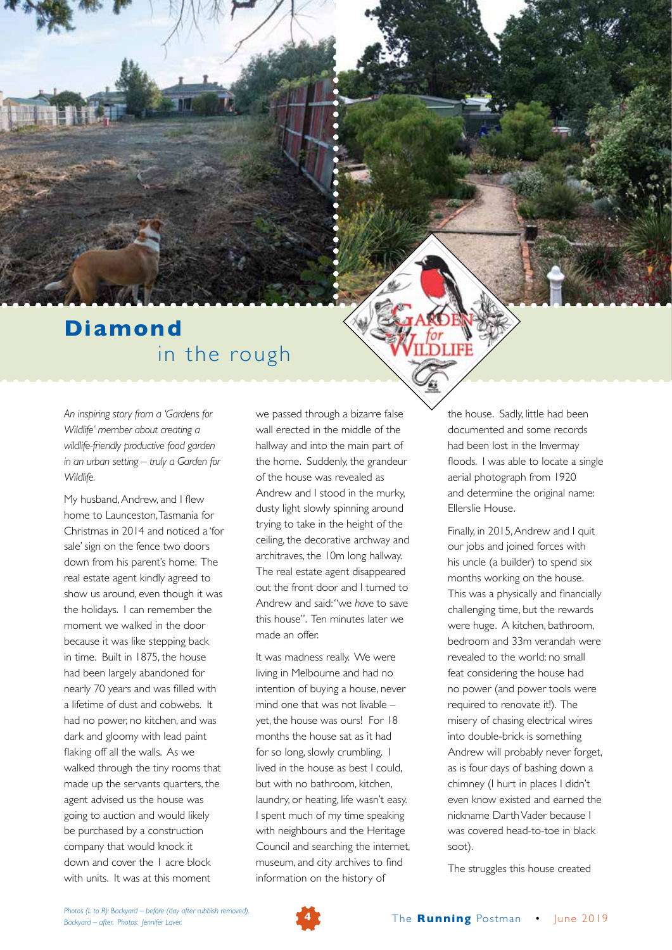## **Diamond** in the rough

*An inspiring story from a 'Gardens for Wildlife' member about creating a wildlife-friendly productive food garden in an urban setting – truly a Garden for Wildlife.*

My husband, Andrew, and I flew home to Launceston, Tasmania for Christmas in 2014 and noticed a 'for sale' sign on the fence two doors down from his parent's home. The real estate agent kindly agreed to show us around, even though it was the holidays. I can remember the moment we walked in the door because it was like stepping back in time. Built in 1875, the house had been largely abandoned for nearly 70 years and was filled with a lifetime of dust and cobwebs. It had no power, no kitchen, and was dark and gloomy with lead paint flaking off all the walls. As we walked through the tiny rooms that made up the servants quarters, the agent advised us the house was going to auction and would likely be purchased by a construction company that would knock it down and cover the 1 acre block with units. It was at this moment

we passed through a bizarre false wall erected in the middle of the hallway and into the main part of the home. Suddenly, the grandeur of the house was revealed as Andrew and I stood in the murky, dusty light slowly spinning around trying to take in the height of the ceiling, the decorative archway and architraves, the 10m long hallway. The real estate agent disappeared out the front door and I turned to Andrew and said: "we *have* to save this house". Ten minutes later we made an offer.

It was madness really. We were living in Melbourne and had no intention of buying a house, never mind one that was not livable – yet, the house was ours! For 18 months the house sat as it had for so long, slowly crumbling. I lived in the house as best I could, but with no bathroom, kitchen, laundry, or heating, life wasn't easy. I spent much of my time speaking with neighbours and the Heritage Council and searching the internet, museum, and city archives to find information on the history of

the house. Sadly, little had been documented and some records had been lost in the Invermay floods. I was able to locate a single aerial photograph from 1920 and determine the original name: Ellerslie House.

I IFF

Finally, in 2015, Andrew and I quit our jobs and joined forces with his uncle (a builder) to spend six months working on the house. This was a physically and financially challenging time, but the rewards were huge. A kitchen, bathroom, bedroom and 33m verandah were revealed to the world: no small feat considering the house had no power (and power tools were required to renovate it!). The misery of chasing electrical wires into double-brick is something Andrew will probably never forget, as is four days of bashing down a chimney (I hurt in places I didn't even know existed and earned the nickname Darth Vader because I was covered head-to-toe in black soot).

The struggles this house created

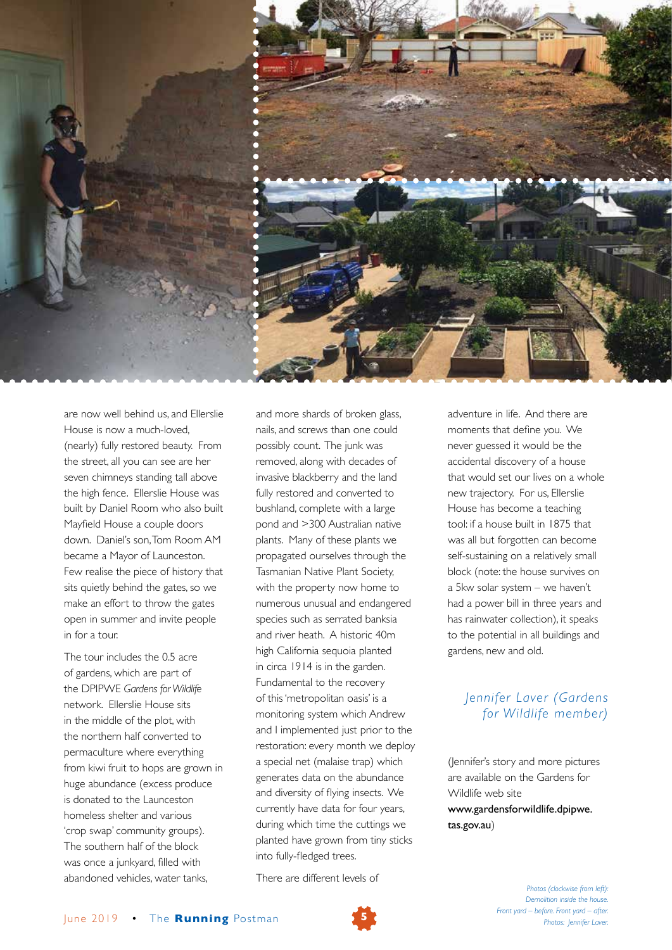

are now well behind us, and Ellerslie House is now a much-loved, (nearly) fully restored beauty. From the street, all you can see are her seven chimneys standing tall above the high fence. Ellerslie House was built by Daniel Room who also built Mayfield House a couple doors down. Daniel's son, Tom Room AM became a Mayor of Launceston. Few realise the piece of history that sits quietly behind the gates, so we make an effort to throw the gates open in summer and invite people in for a tour.

The tour includes the 0.5 acre of gardens, which are part of the DPIPWE *Gardens for Wildlife* network. Ellerslie House sits in the middle of the plot, with the northern half converted to permaculture where everything from kiwi fruit to hops are grown in huge abundance (excess produce is donated to the Launceston homeless shelter and various 'crop swap' community groups). The southern half of the block was once a junkyard, filled with abandoned vehicles, water tanks,

and more shards of broken glass, nails, and screws than one could possibly count. The junk was removed, along with decades of invasive blackberry and the land fully restored and converted to bushland, complete with a large pond and >300 Australian native plants. Many of these plants we propagated ourselves through the Tasmanian Native Plant Society, with the property now home to numerous unusual and endangered species such as serrated banksia and river heath. A historic 40m high California sequoia planted in circa 1914 is in the garden. Fundamental to the recovery of this 'metropolitan oasis' is a monitoring system which Andrew and I implemented just prior to the restoration: every month we deploy a special net (malaise trap) which generates data on the abundance and diversity of flying insects. We currently have data for four years, during which time the cuttings we planted have grown from tiny sticks into fully-fledged trees.

There are different levels of

adventure in life. And there are moments that define you. We never guessed it would be the accidental discovery of a house that would set our lives on a whole new trajectory. For us, Ellerslie House has become a teaching tool: if a house built in 1875 that was all but forgotten can become self-sustaining on a relatively small block (note: the house survives on a 5kw solar system – we haven't had a power bill in three years and has rainwater collection), it speaks to the potential in all buildings and gardens, new and old.

### *Jennifer Laver (Gardens for Wildlife member)*

(Jennifer's story and more pictures are available on the Gardens for Wildlife web site www.gardensforwildlife.dpipwe. tas.gov.au)

> *Photos (clockwise from left): Demolition inside the house. Front yard – before. Front yard – after. Photos: Jennifer Laver.*

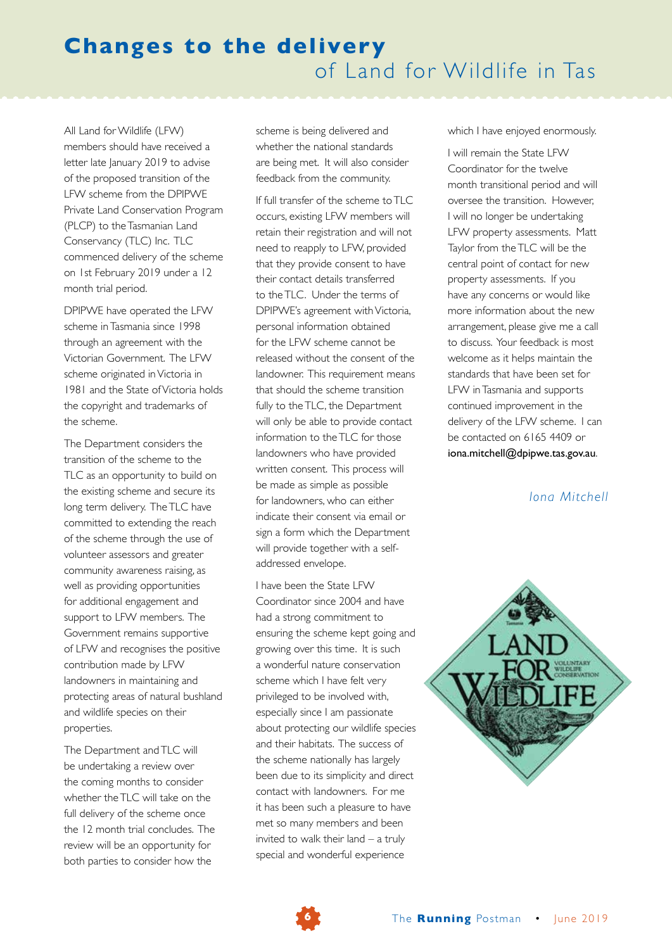All Land for Wildlife (LFW) members should have received a letter late January 2019 to advise of the proposed transition of the LFW scheme from the DPIPWE Private Land Conservation Program (PLCP) to the Tasmanian Land Conservancy (TLC) Inc. TLC commenced delivery of the scheme on 1st February 2019 under a 12 month trial period.

DPIPWE have operated the LFW scheme in Tasmania since 1998 through an agreement with the Victorian Government. The LFW scheme originated in Victoria in 1981 and the State of Victoria holds the copyright and trademarks of the scheme.

The Department considers the transition of the scheme to the TLC as an opportunity to build on the existing scheme and secure its long term delivery. The TLC have committed to extending the reach of the scheme through the use of volunteer assessors and greater community awareness raising, as well as providing opportunities for additional engagement and support to LFW members. The Government remains supportive of LFW and recognises the positive contribution made by LFW landowners in maintaining and protecting areas of natural bushland and wildlife species on their properties.

The Department and TLC will be undertaking a review over the coming months to consider whether the TLC will take on the full delivery of the scheme once the 12 month trial concludes. The review will be an opportunity for both parties to consider how the

scheme is being delivered and whether the national standards are being met. It will also consider feedback from the community.

If full transfer of the scheme to  $T\Box C$ occurs, existing LFW members will retain their registration and will not need to reapply to LFW, provided that they provide consent to have their contact details transferred to the TLC. Under the terms of DPIPWE's agreement with Victoria, personal information obtained for the LFW scheme cannot be released without the consent of the landowner. This requirement means that should the scheme transition fully to the TLC, the Department will only be able to provide contact information to the TLC for those landowners who have provided written consent. This process will be made as simple as possible for landowners, who can either indicate their consent via email or sign a form which the Department will provide together with a selfaddressed envelope.

I have been the State LFW Coordinator since 2004 and have had a strong commitment to ensuring the scheme kept going and growing over this time. It is such a wonderful nature conservation scheme which I have felt very privileged to be involved with, especially since I am passionate about protecting our wildlife species and their habitats. The success of the scheme nationally has largely been due to its simplicity and direct contact with landowners. For me it has been such a pleasure to have met so many members and been invited to walk their land – a truly special and wonderful experience

which I have enjoyed enormously.

I will remain the State LFW Coordinator for the twelve month transitional period and will oversee the transition. However, I will no longer be undertaking LFW property assessments. Matt Taylor from the TLC will be the central point of contact for new property assessments. If you have any concerns or would like more information about the new arrangement, please give me a call to discuss. Your feedback is most welcome as it helps maintain the standards that have been set for LFW in Tasmania and supports continued improvement in the delivery of the LFW scheme. I can be contacted on 6165 4409 or iona.mitchell@dpipwe.tas.gov.au.

*Iona Mitchell*



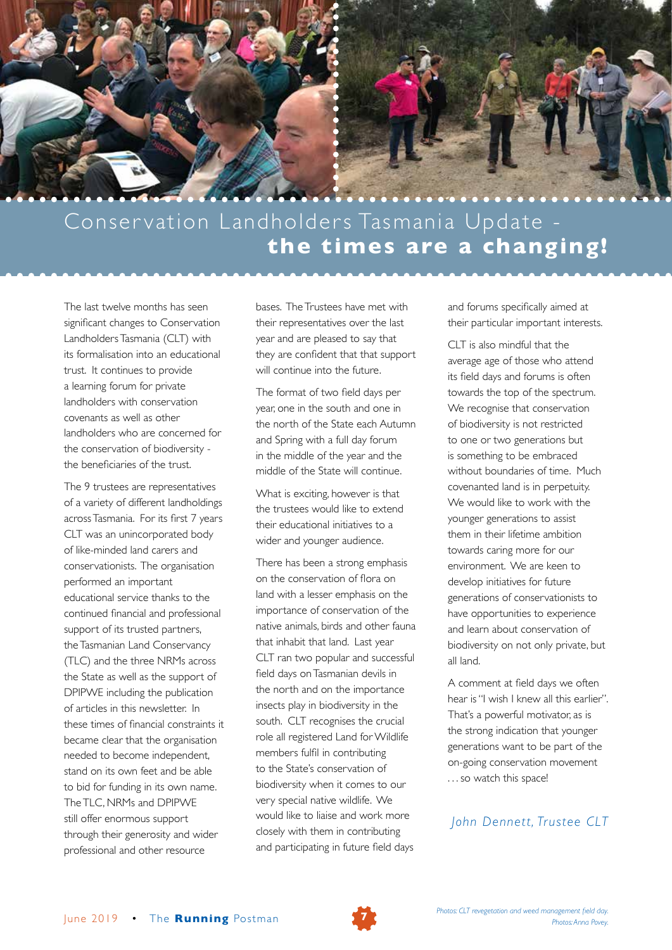

# Conservation Landholders Tasmania Update **the times are a changing!**

The last twelve months has seen significant changes to Conservation Landholders Tasmania (CLT) with its formalisation into an educational trust. It continues to provide a learning forum for private landholders with conservation covenants as well as other landholders who are concerned for the conservation of biodiversity the beneficiaries of the trust.

The 9 trustees are representatives of a variety of different landholdings across Tasmania. For its first 7 years CLT was an unincorporated body of like-minded land carers and conservationists. The organisation performed an important educational service thanks to the continued financial and professional support of its trusted partners, the Tasmanian Land Conservancy (TLC) and the three NRMs across the State as well as the support of DPIPWE including the publication of articles in this newsletter. In these times of financial constraints it became clear that the organisation needed to become independent, stand on its own feet and be able to bid for funding in its own name. The TLC, NRMs and DPIPWE still offer enormous support through their generosity and wider professional and other resource

bases. The Trustees have met with their representatives over the last year and are pleased to say that they are confident that that support will continue into the future.

The format of two field days per year, one in the south and one in the north of the State each Autumn and Spring with a full day forum in the middle of the year and the middle of the State will continue.

What is exciting, however is that the trustees would like to extend their educational initiatives to a wider and younger audience.

There has been a strong emphasis on the conservation of flora on land with a lesser emphasis on the importance of conservation of the native animals, birds and other fauna that inhabit that land. Last year CLT ran two popular and successful field days on Tasmanian devils in the north and on the importance insects play in biodiversity in the south. CLT recognises the crucial role all registered Land for Wildlife members fulfil in contributing to the State's conservation of biodiversity when it comes to our very special native wildlife. We would like to liaise and work more closely with them in contributing and participating in future field days

and forums specifically aimed at their particular important interests.

CLT is also mindful that the average age of those who attend its field days and forums is often towards the top of the spectrum. We recognise that conservation of biodiversity is not restricted to one or two generations but is something to be embraced without boundaries of time. Much covenanted land is in perpetuity. We would like to work with the younger generations to assist them in their lifetime ambition towards caring more for our environment. We are keen to develop initiatives for future generations of conservationists to have opportunities to experience and learn about conservation of biodiversity on not only private, but all land.

A comment at field days we often hear is "I wish I knew all this earlier". That's a powerful motivator, as is the strong indication that younger generations want to be part of the on-going conservation movement . . . so watch this space!

*John Dennett, Trustee CLT*

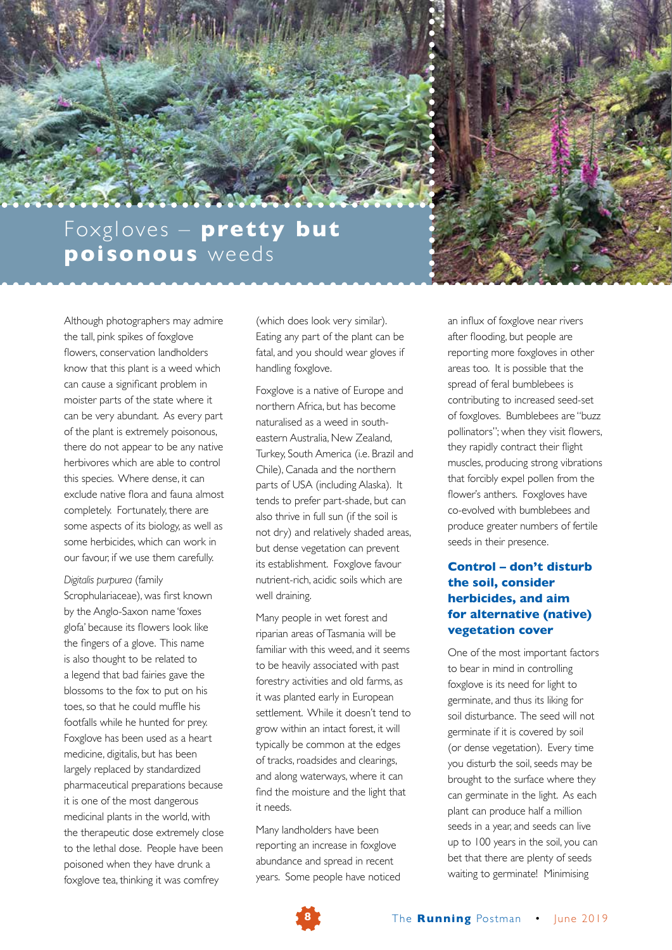

Although photographers may admire the tall, pink spikes of foxglove flowers, conservation landholders know that this plant is a weed which can cause a significant problem in moister parts of the state where it can be very abundant. As every part of the plant is extremely poisonous, there do not appear to be any native herbivores which are able to control this species. Where dense, it can exclude native flora and fauna almost completely. Fortunately, there are some aspects of its biology, as well as some herbicides, which can work in our favour, if we use them carefully.

*Digitalis purpurea* (family Scrophulariaceae), was first known by the Anglo-Saxon name 'foxes glofa' because its flowers look like the fingers of a glove. This name is also thought to be related to a legend that bad fairies gave the blossoms to the fox to put on his toes, so that he could muffle his footfalls while he hunted for prey. Foxglove has been used as a heart medicine, digitalis, but has been largely replaced by standardized pharmaceutical preparations because it is one of the most dangerous medicinal plants in the world, with the therapeutic dose extremely close to the lethal dose. People have been poisoned when they have drunk a foxglove tea, thinking it was comfrey

(which does look very similar). Eating any part of the plant can be fatal, and you should wear gloves if handling foxglove.

Foxglove is a native of Europe and northern Africa, but has become naturalised as a weed in southeastern Australia, New Zealand, Turkey, South America (i.e. Brazil and Chile), Canada and the northern parts of USA (including Alaska). It tends to prefer part-shade, but can also thrive in full sun (if the soil is not dry) and relatively shaded areas, but dense vegetation can prevent its establishment. Foxglove favour nutrient-rich, acidic soils which are well draining.

Many people in wet forest and riparian areas of Tasmania will be familiar with this weed, and it seems to be heavily associated with past forestry activities and old farms, as it was planted early in European settlement. While it doesn't tend to grow within an intact forest, it will typically be common at the edges of tracks, roadsides and clearings, and along waterways, where it can find the moisture and the light that it needs.

Many landholders have been reporting an increase in foxglove abundance and spread in recent years. Some people have noticed an influx of foxglove near rivers after flooding, but people are reporting more foxgloves in other areas too. It is possible that the spread of feral bumblebees is contributing to increased seed-set of foxgloves. Bumblebees are "buzz pollinators"; when they visit flowers, they rapidly contract their flight muscles, producing strong vibrations that forcibly expel pollen from the flower's anthers. Foxgloves have co-evolved with bumblebees and produce greater numbers of fertile seeds in their presence.

### **Control – don't disturb the soil, consider herbicides, and aim for alternative (native) vegetation cover**

One of the most important factors to bear in mind in controlling foxglove is its need for light to germinate, and thus its liking for soil disturbance. The seed will not germinate if it is covered by soil (or dense vegetation). Every time you disturb the soil, seeds may be brought to the surface where they can germinate in the light. As each plant can produce half a million seeds in a year, and seeds can live up to 100 years in the soil, you can bet that there are plenty of seeds waiting to germinate! Minimising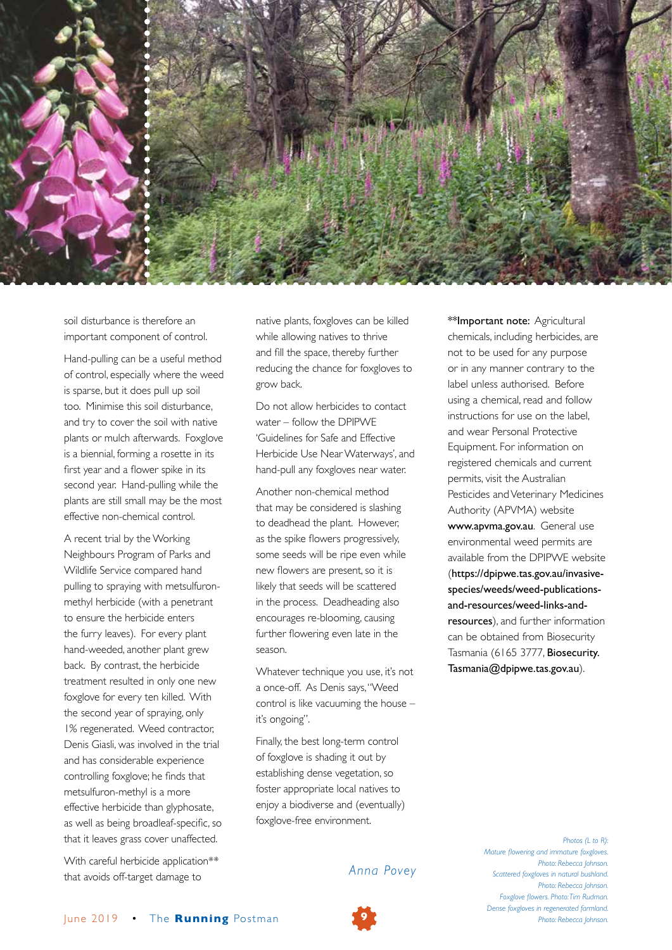

soil disturbance is therefore an important component of control.

Hand-pulling can be a useful method of control, especially where the weed is sparse, but it does pull up soil too. Minimise this soil disturbance, and try to cover the soil with native plants or mulch afterwards. Foxglove is a biennial, forming a rosette in its first year and a flower spike in its second year. Hand-pulling while the plants are still small may be the most effective non-chemical control.

A recent trial by the Working Neighbours Program of Parks and Wildlife Service compared hand pulling to spraying with metsulfuronmethyl herbicide (with a penetrant to ensure the herbicide enters the furry leaves). For every plant hand-weeded, another plant grew back. By contrast, the herbicide treatment resulted in only one new foxglove for every ten killed. With the second year of spraying, only 1% regenerated. Weed contractor, Denis Giasli, was involved in the trial and has considerable experience controlling foxglove; he finds that metsulfuron-methyl is a more effective herbicide than glyphosate, as well as being broadleaf-specific, so that it leaves grass cover unaffected.

With careful herbicide application\*\* that avoids off-target damage to

native plants, foxgloves can be killed while allowing natives to thrive and fill the space, thereby further reducing the chance for foxgloves to grow back.

Do not allow herbicides to contact water – follow the DPIPWE 'Guidelines for Safe and Effective Herbicide Use Near Waterways', and hand-pull any foxgloves near water.

Another non-chemical method that may be considered is slashing to deadhead the plant. However, as the spike flowers progressively, some seeds will be ripe even while new flowers are present, so it is likely that seeds will be scattered in the process. Deadheading also encourages re-blooming, causing further flowering even late in the season.

Whatever technique you use, it's not a once-off. As Denis says, "Weed control is like vacuuming the house – it's ongoing".

Finally, the best long-term control of foxglove is shading it out by establishing dense vegetation, so foster appropriate local natives to enjoy a biodiverse and (eventually) foxglove-free environment.

#### *Anna Povey*

\*\*Important note: Agricultural chemicals, including herbicides, are not to be used for any purpose or in any manner contrary to the label unless authorised. Before using a chemical, read and follow instructions for use on the label, and wear Personal Protective Equipment. For information on registered chemicals and current permits, visit the Australian Pesticides and Veterinary Medicines Authority (APVMA) website www.apvma.gov.au. General use environmental weed permits are available from the DPIPWE website (https://dpipwe.tas.gov.au/invasivespecies/weeds/weed-publicationsand-resources/weed-links-andresources), and further information can be obtained from Biosecurity Tasmania (6165 3777, Biosecurity. Tasmania@dpipwe.tas.gov.au).

> *Photos (L to R): Mature flowering and immature foxgloves. Photo: Rebecca Johnson. Scattered foxgloves in natural bushland. Photo: Rebecca Johnson. Foxglove flowers. Photo: Tim Rudman. Dense foxgloves in regenerated farmland.*

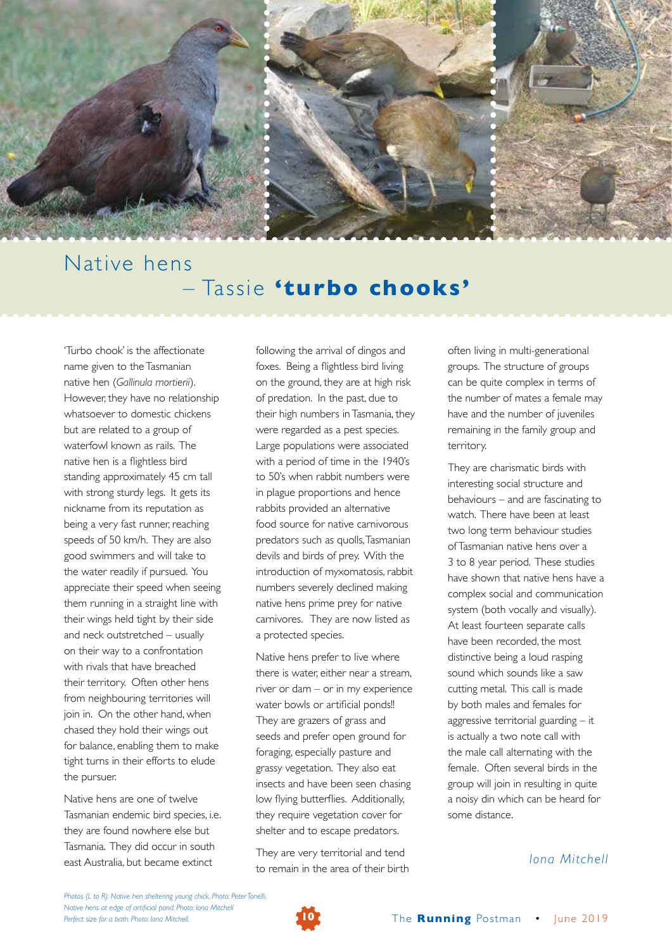

## Native hens – Tassie **'turbo chooks'**

'Turbo chook' is the affectionate name given to the Tasmanian native hen (*Gallinula mortierii*). However, they have no relationship whatsoever to domestic chickens but are related to a group of waterfowl known as rails. The native hen is a flightless bird standing approximately 45 cm tall with strong sturdy legs. It gets its nickname from its reputation as being a very fast runner, reaching speeds of 50 km/h. They are also good swimmers and will take to the water readily if pursued. You appreciate their speed when seeing them running in a straight line with their wings held tight by their side and neck outstretched – usually on their way to a confrontation with rivals that have breached their territory. Often other hens from neighbouring territories will join in. On the other hand, when chased they hold their wings out for balance, enabling them to make tight turns in their efforts to elude the pursuer.

Native hens are one of twelve Tasmanian endemic bird species, i.e. they are found nowhere else but Tasmania. They did occur in south east Australia, but became extinct

following the arrival of dingos and foxes. Being a flightless bird living on the ground, they are at high risk of predation. In the past, due to their high numbers in Tasmania, they were regarded as a pest species. Large populations were associated with a period of time in the 1940's to 50's when rabbit numbers were in plague proportions and hence rabbits provided an alternative food source for native carnivorous predators such as quolls, Tasmanian devils and birds of prey. With the introduction of myxomatosis, rabbit numbers severely declined making native hens prime prey for native carnivores. They are now listed as a protected species.

Native hens prefer to live where there is water, either near a stream, river or dam – or in my experience water bowls or artificial ponds!! They are grazers of grass and seeds and prefer open ground for foraging, especially pasture and grassy vegetation. They also eat insects and have been seen chasing low flying butterflies. Additionally, they require vegetation cover for shelter and to escape predators.

They are very territorial and tend to remain in the area of their birth often living in multi-generational groups. The structure of groups can be quite complex in terms of the number of mates a female may have and the number of juveniles remaining in the family group and territory.

They are charismatic birds with interesting social structure and behaviours – and are fascinating to watch. There have been at least two long term behaviour studies of Tasmanian native hens over a 3 to 8 year period. These studies have shown that native hens have a complex social and communication system (both vocally and visually). At least fourteen separate calls have been recorded, the most distinctive being a loud rasping sound which sounds like a saw cutting metal. This call is made by both males and females for aggressive territorial guarding – it is actually a two note call with the male call alternating with the female. Often several birds in the group will join in resulting in quite a noisy din which can be heard for some distance.

*Iona Mitchell*

*Photos (L to R): Native hen sheltering young chick. Photo: Peter Tonelli. Native hens at edge of artificial pond. Photo: Iona Mitchell Perfect size for a bath. Photo: Iona Mitchell.* **10** The **Running** Postman • June 2019

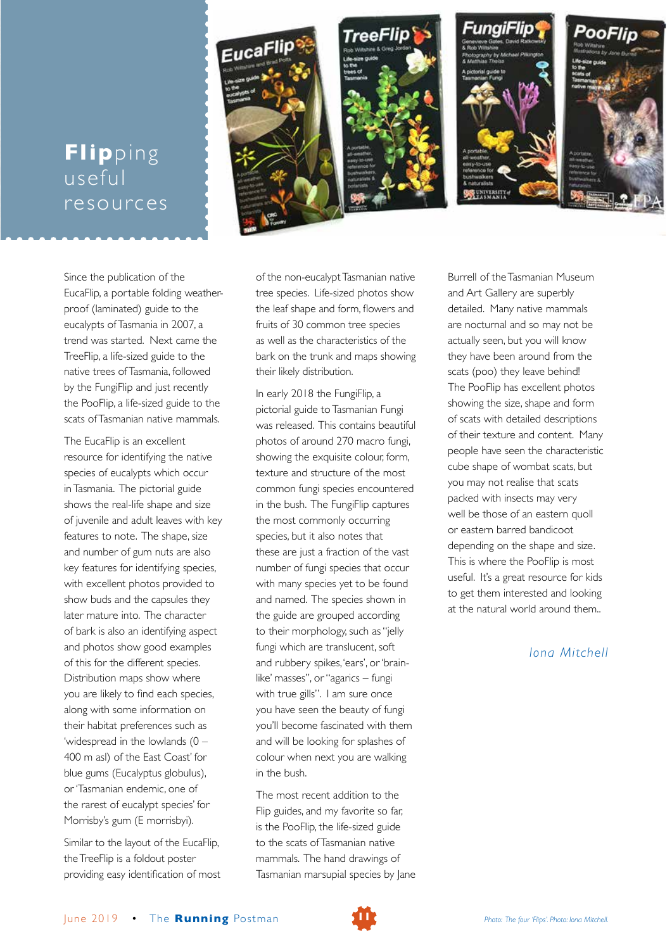## **Flip**ping useful resources



Since the publication of the EucaFlip, a portable folding weatherproof (laminated) guide to the eucalypts of Tasmania in 2007, a trend was started. Next came the TreeFlip, a life-sized guide to the native trees of Tasmania, followed by the FungiFlip and just recently the PooFlip, a life-sized guide to the scats of Tasmanian native mammals.

The EucaFlip is an excellent resource for identifying the native species of eucalypts which occur in Tasmania. The pictorial guide shows the real-life shape and size of juvenile and adult leaves with key features to note. The shape, size and number of gum nuts are also key features for identifying species, with excellent photos provided to show buds and the capsules they later mature into. The character of bark is also an identifying aspect and photos show good examples of this for the different species. Distribution maps show where you are likely to find each species, along with some information on their habitat preferences such as 'widespread in the lowlands (0 – 400 m asl) of the East Coast' for blue gums (Eucalyptus globulus), or 'Tasmanian endemic, one of the rarest of eucalypt species' for Morrisby's gum (E morrisbyi).

Similar to the layout of the EucaFlip, the TreeFlip is a foldout poster providing easy identification of most of the non-eucalypt Tasmanian native tree species. Life-sized photos show the leaf shape and form, flowers and fruits of 30 common tree species as well as the characteristics of the bark on the trunk and maps showing their likely distribution.

In early 2018 the FungiFlip, a pictorial guide to Tasmanian Fungi was released. This contains beautiful photos of around 270 macro fungi, showing the exquisite colour, form, texture and structure of the most common fungi species encountered in the bush. The FungiFlip captures the most commonly occurring species, but it also notes that these are just a fraction of the vast number of fungi species that occur with many species yet to be found and named. The species shown in the guide are grouped according to their morphology, such as "jelly fungi which are translucent, soft and rubbery spikes, 'ears', or 'brainlike' masses", or "agarics – fungi with true gills". I am sure once you have seen the beauty of fungi you'll become fascinated with them and will be looking for splashes of colour when next you are walking in the bush.

The most recent addition to the Flip guides, and my favorite so far, is the PooFlip, the life-sized guide to the scats of Tasmanian native mammals. The hand drawings of Tasmanian marsupial species by Jane Burrell of the Tasmanian Museum and Art Gallery are superbly detailed. Many native mammals are nocturnal and so may not be actually seen, but you will know they have been around from the scats (poo) they leave behind! The PooFlip has excellent photos showing the size, shape and form of scats with detailed descriptions of their texture and content. Many people have seen the characteristic cube shape of wombat scats, but you may not realise that scats packed with insects may very well be those of an eastern quoll or eastern barred bandicoot depending on the shape and size. This is where the PooFlip is most useful. It's a great resource for kids to get them interested and looking at the natural world around them..

### *Iona Mitchell*